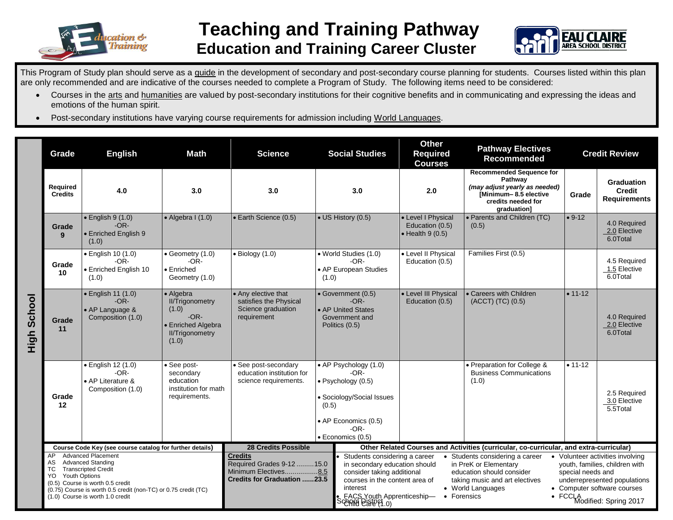

## **Teaching and Training Pathway Education and Training Career Cluster**



This Program of Study plan should serve as a guide in the development of secondary and post-secondary course planning for students. Courses listed within this plan are only recommended and are indicative of the courses needed to complete a Program of Study. The following items need to be considered:

- Courses in the arts and humanities are valued by post-secondary institutions for their cognitive benefits and in communicating and expressing the ideas and emotions of the human spirit.
- Post-secondary institutions have varying course requirements for admission including World Languages.

|             | Grade                                                                                                                                                                                                                                                                          | <b>English</b><br><b>Math</b><br><b>Science</b>                                                                                                                                                        |                           | <b>Social Studies</b>                                                                                                                                                                                                            |                                                                                        | <b>Other</b><br><b>Required</b><br><b>Courses</b>                                                                                                                                                                                                                                                                                                                                                                                                                                                                                                                           | <b>Pathway Electives</b><br><b>Recommended</b>                         | <b>Credit Review</b>                                                                                                                      |                                          |                                                           |
|-------------|--------------------------------------------------------------------------------------------------------------------------------------------------------------------------------------------------------------------------------------------------------------------------------|--------------------------------------------------------------------------------------------------------------------------------------------------------------------------------------------------------|---------------------------|----------------------------------------------------------------------------------------------------------------------------------------------------------------------------------------------------------------------------------|----------------------------------------------------------------------------------------|-----------------------------------------------------------------------------------------------------------------------------------------------------------------------------------------------------------------------------------------------------------------------------------------------------------------------------------------------------------------------------------------------------------------------------------------------------------------------------------------------------------------------------------------------------------------------------|------------------------------------------------------------------------|-------------------------------------------------------------------------------------------------------------------------------------------|------------------------------------------|-----------------------------------------------------------|
|             | Required<br><b>Credits</b>                                                                                                                                                                                                                                                     | 4.0<br>3.0                                                                                                                                                                                             |                           | 3.0<br>3.0                                                                                                                                                                                                                       |                                                                                        |                                                                                                                                                                                                                                                                                                                                                                                                                                                                                                                                                                             | 2.0                                                                    | <b>Recommended Sequence for</b><br>Pathway<br>(may adjust yearly as needed)<br>[Minimum-8.5 elective<br>credits needed for<br>graduation] | Grade                                    | <b>Graduation</b><br><b>Credit</b><br><b>Requirements</b> |
|             | Grade<br>9                                                                                                                                                                                                                                                                     | $\bullet$ English 9 (1.0)<br>$-OR-$<br>• Enriched English 9<br>(1.0)                                                                                                                                   | $\bullet$ Algebra I (1.0) | • Earth Science (0.5)                                                                                                                                                                                                            | • US History (0.5)                                                                     |                                                                                                                                                                                                                                                                                                                                                                                                                                                                                                                                                                             | • Level I Physical<br>Education (0.5)<br>$\bullet$ Health 9 (0.5)      | • Parents and Children (TC)<br>(0.5)                                                                                                      | $• 9-12$                                 | 4.0 Required<br>2.0 Elective<br>6.0Total                  |
|             | Grade<br>10                                                                                                                                                                                                                                                                    | · English 10 (1.0)<br>• Geometry (1.0)<br>$\bullet$ Biology (1.0)<br>$-OR-$<br>$-OR-$<br>$\bullet$ Enriched<br>• Enriched English 10<br>Geometry (1.0)<br>(1.0)                                        |                           |                                                                                                                                                                                                                                  | · World Studies (1.0)<br>$-OR-$<br>• AP European Studies<br>(1.0)                      |                                                                                                                                                                                                                                                                                                                                                                                                                                                                                                                                                                             | • Level II Physical<br>Education (0.5)                                 | Families First (0.5)                                                                                                                      |                                          | 4.5 Required<br>1.5 Elective<br>6.0Total                  |
| High School | Grade<br>11                                                                                                                                                                                                                                                                    | • English 11 (1.0)<br>• Algebra<br>$-OR-$<br><b>II/Trigonometry</b><br>(1.0)<br>• AP Language &<br>$-OR-$<br>requirement<br>Composition (1.0)<br>• Enriched Algebra<br><b>II/Trigonometry</b><br>(1.0) |                           | • Any elective that<br>satisfies the Physical<br>Science graduation                                                                                                                                                              | · Government (0.5)<br>$-OR-$<br>• AP United States<br>Government and<br>Politics (0.5) |                                                                                                                                                                                                                                                                                                                                                                                                                                                                                                                                                                             | • Level III Physical<br>Education (0.5)                                | • Careers with Children<br>(ACCT) (TC) (0.5)                                                                                              | $• 11 - 12$                              | 4.0 Required<br>2.0 Elective<br>6.0Total                  |
|             | Grade<br>12                                                                                                                                                                                                                                                                    | $\bullet$ English 12 (1.0)<br>• See post-<br>$-OR-$<br>secondary<br>education<br>• AP Literature &<br>institution for math<br>Composition (1.0)<br>requirements.                                       |                           | • AP Psychology (1.0)<br>· See post-secondary<br>education institution for<br>$-OR-$<br>science requirements.<br>· Psychology (0.5)<br>• Sociology/Social Issues<br>(0.5)<br>• AP Economics (0.5)<br>$-OR-$<br>· Economics (0.5) |                                                                                        |                                                                                                                                                                                                                                                                                                                                                                                                                                                                                                                                                                             | • Preparation for College &<br><b>Business Communications</b><br>(1.0) | $• 11 - 12$                                                                                                                               | 2.5 Required<br>3.0 Elective<br>5.5Total |                                                           |
|             |                                                                                                                                                                                                                                                                                | Course Code Key (see course catalog for further details)                                                                                                                                               |                           | <b>28 Credits Possible</b>                                                                                                                                                                                                       |                                                                                        |                                                                                                                                                                                                                                                                                                                                                                                                                                                                                                                                                                             |                                                                        | Other Related Courses and Activities (curricular, co-curricular, and extra-curricular)                                                    |                                          |                                                           |
|             | <b>Advanced Placement</b><br>AP<br><b>Advanced Standing</b><br>AS<br><b>Transcripted Credit</b><br>ТC<br>YO.<br><b>Youth Options</b><br>(0.5) Course is worth 0.5 credit<br>(0.75) Course is worth 0.5 credit (non-TC) or 0.75 credit (TC)<br>(1.0) Course is worth 1.0 credit |                                                                                                                                                                                                        |                           | <b>Credits</b><br>Required Grades 9-12  15.0<br>Minimum Electives8.5<br><b>Credits for Graduation 23.5</b>                                                                                                                       |                                                                                        | Students considering a career<br>• Volunteer activities involving<br>• Students considering a career<br>in secondary education should<br>in PreK or Elementary<br>youth, families, children with<br>consider taking additional<br>education should consider<br>special needs and<br>courses in the content area of<br>taking music and art electives<br>underrepresented populations<br>interest<br>• World Languages<br>• Computer software courses<br>• FACS Youth Apprenticeship—<br>Scoppid Piste <sup>r</sup> (4.0)<br>• FCCLA<br>Modified: Spring 2017<br>• Forensics |                                                                        |                                                                                                                                           |                                          |                                                           |